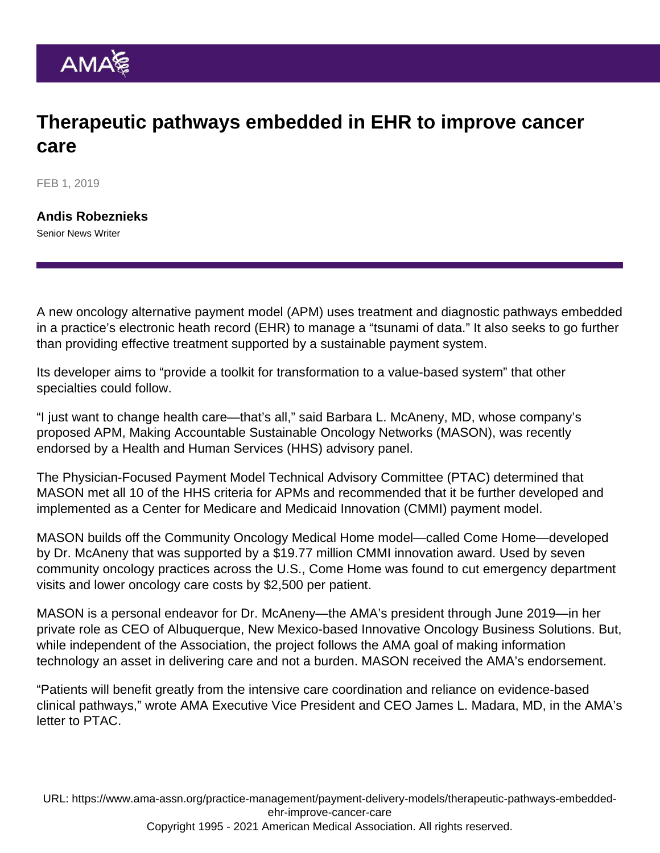## Therapeutic pathways embedded in EHR to improve cancer care

FEB 1, 2019

[Andis Robeznieks](https://www.ama-assn.org/news-leadership-viewpoints/authors-news-leadership-viewpoints/andis-robeznieks) Senior News Writer

A new oncology alternative payment model (APM) uses treatment and diagnostic pathways embedded in a practice's electronic heath record (EHR) to manage a "tsunami of data." It also seeks to go further than providing effective treatment supported by a sustainable payment system.

Its developer aims to "provide a toolkit for transformation to a value-based system" that other specialties could follow.

"I just want to change health care—that's all," said Barbara L. McAneny, MD, whose company's proposed APM, Making Accountable Sustainable Oncology Networks (MASON), was recently endorsed by a Health and Human Services (HHS) advisory panel.

The Physician-Focused Payment Model Technical Advisory Committee (PTAC) determined that MASON met all 10 of the HHS criteria for APMs and recommended that it be further developed and implemented as a Center for Medicare and Medicaid Innovation (CMMI) payment model.

MASON builds off the [Community Oncology Medical Home model](https://www.ama-assn.org/delivering-care/patient-support-advocacy/cancer-medical-home-model-cuts-costs-improves-care)—called Come Home—developed by Dr. McAneny that was supported by a \$19.77 million CMMI innovation award. Used by seven community oncology practices across the U.S., Come Home was found to cut emergency department visits and lower oncology care costs by \$2,500 per patient.

MASON is a personal endeavor for Dr. McAneny—the AMA's president through June 2019—in her private role as CEO of Albuquerque, New Mexico-based Innovative Oncology Business Solutions. But, while independent of the Association, the project follows the AMA goal of making information technology an asset in delivering care and not a burden. MASON received the AMA's endorsement.

"Patients will benefit greatly from the intensive care coordination and reliance on evidence-based clinical pathways," wrote AMA Executive Vice President and CEO James L. Madara, MD, in the AMA's letter to PTAC.

URL: [https://www.ama-assn.org/practice-management/payment-delivery-models/therapeutic-pathways-embedded](https://www.ama-assn.org/practice-management/payment-delivery-models/therapeutic-pathways-embedded-ehr-improve-cancer-care)[ehr-improve-cancer-care](https://www.ama-assn.org/practice-management/payment-delivery-models/therapeutic-pathways-embedded-ehr-improve-cancer-care) Copyright 1995 - 2021 American Medical Association. All rights reserved.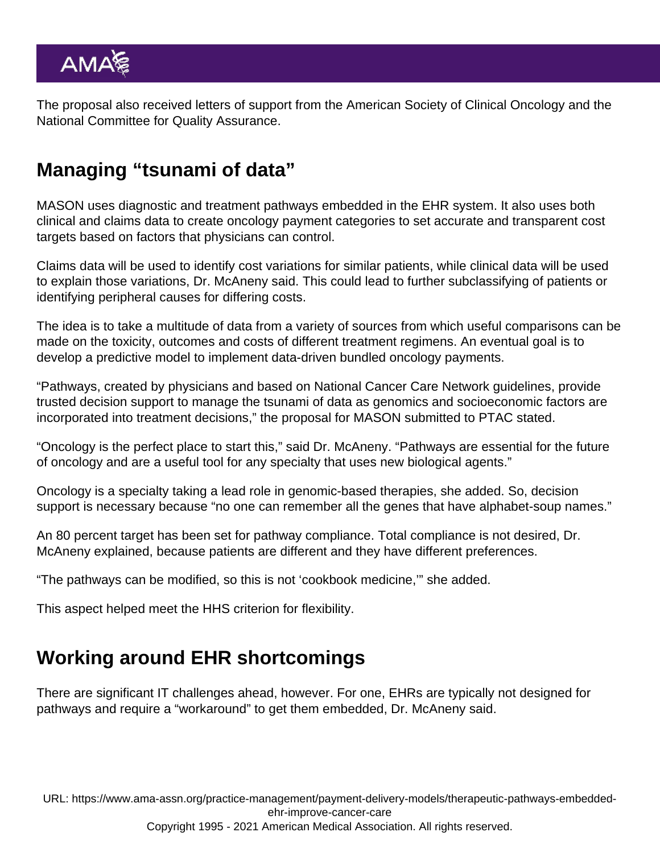The proposal also received letters of support from the American Society of Clinical Oncology and the National Committee for Quality Assurance.

## Managing "tsunami of data"

MASON uses diagnostic and treatment pathways embedded in the EHR system. It also uses both clinical and claims data to create oncology payment categories to set accurate and transparent cost targets based on factors that physicians can control.

Claims data will be used to identify cost variations for similar patients, while clinical data will be used to explain those variations, Dr. McAneny said. This could lead to further subclassifying of patients or identifying peripheral causes for differing costs.

The idea is to take a multitude of data from a variety of sources from which useful comparisons can be made on the toxicity, outcomes and costs of different treatment regimens. An eventual goal is to develop a predictive model to implement data-driven bundled oncology payments.

"Pathways, created by physicians and based on National Cancer Care Network guidelines, provide trusted decision support to manage the tsunami of data as genomics and socioeconomic factors are incorporated into treatment decisions," the proposal for MASON submitted to PTAC stated.

"Oncology is the perfect place to start this," said Dr. McAneny. "Pathways are essential for the future of oncology and are a useful tool for any specialty that uses new biological agents."

Oncology is a specialty taking a lead role in genomic-based therapies, she added. So, decision support is necessary because "no one can remember all the genes that have alphabet-soup names."

An 80 percent target has been set for pathway compliance. Total compliance is not desired, Dr. McAneny explained, because patients are different and they have different preferences.

"The pathways can be modified, so this is not 'cookbook medicine,'" she added.

This aspect helped meet the HHS criterion for flexibility.

## Working around EHR shortcomings

There are significant IT challenges ahead, however. For one, EHRs are typically not designed for pathways and require a "workaround" to get them embedded, Dr. McAneny said.

URL: [https://www.ama-assn.org/practice-management/payment-delivery-models/therapeutic-pathways-embedded](https://www.ama-assn.org/practice-management/payment-delivery-models/therapeutic-pathways-embedded-ehr-improve-cancer-care)[ehr-improve-cancer-care](https://www.ama-assn.org/practice-management/payment-delivery-models/therapeutic-pathways-embedded-ehr-improve-cancer-care)